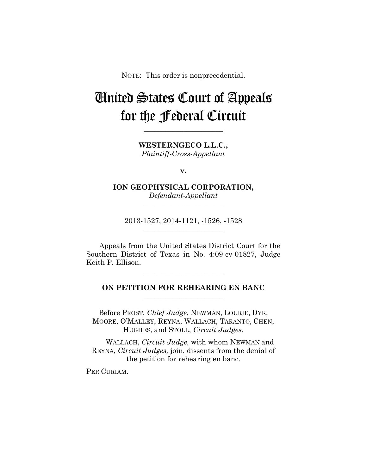NOTE: This order is nonprecedential.

## United States Court of Appeals for the Federal Circuit

**WESTERNGECO L.L.C.,** *Plaintiff-Cross-Appellant*

**\_\_\_\_\_\_\_\_\_\_\_\_\_\_\_\_\_\_\_\_\_\_** 

**v.**

**ION GEOPHYSICAL CORPORATION,** *Defendant-Appellant*

**\_\_\_\_\_\_\_\_\_\_\_\_\_\_\_\_\_\_\_\_\_\_** 

2013-1527, 2014-1121, -1526, -1528 **\_\_\_\_\_\_\_\_\_\_\_\_\_\_\_\_\_\_\_\_\_\_** 

Appeals from the United States District Court for the Southern District of Texas in No. 4:09-cv-01827, Judge Keith P. Ellison.

## **ON PETITION FOR REHEARING EN BANC \_\_\_\_\_\_\_\_\_\_\_\_\_\_\_\_\_\_\_\_\_\_**

**\_\_\_\_\_\_\_\_\_\_\_\_\_\_\_\_\_\_\_\_\_\_** 

Before PROST, *Chief Judge*, NEWMAN, LOURIE, DYK, MOORE, O'MALLEY, REYNA, WALLACH, TARANTO, CHEN, HUGHES, and STOLL, *Circuit Judges*.

WALLACH, *Circuit Judge,* with whom NEWMAN and REYNA, *Circuit Judges,* join, dissents from the denial of the petition for rehearing en banc.

PER CURIAM.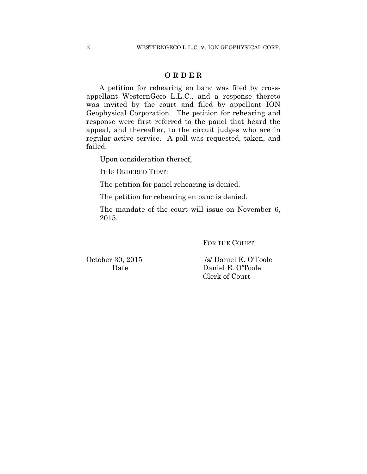## **O R D E R**

A petition for rehearing en banc was filed by crossappellant WesternGeco L.L.C., and a response thereto was invited by the court and filed by appellant ION Geophysical Corporation. The petition for rehearing and response were first referred to the panel that heard the appeal, and thereafter, to the circuit judges who are in regular active service. A poll was requested, taken, and failed.

Upon consideration thereof,

IT IS ORDERED THAT:

The petition for panel rehearing is denied.

The petition for rehearing en banc is denied.

The mandate of the court will issue on November 6, 2015.

FOR THE COURT

October 30, 2015 /s/ Daniel E. O'Toole Date Daniel E. O'Toole Clerk of Court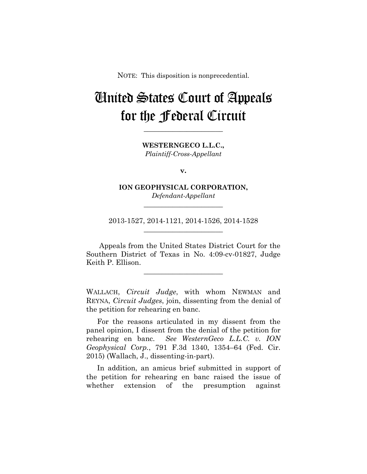NOTE: This disposition is nonprecedential.

## United States Court of Appeals for the Federal Circuit

**WESTERNGECO L.L.C.,** *Plaintiff-Cross-Appellant*

**\_\_\_\_\_\_\_\_\_\_\_\_\_\_\_\_\_\_\_\_\_\_** 

**v.**

**ION GEOPHYSICAL CORPORATION,** *Defendant-Appellant*

**\_\_\_\_\_\_\_\_\_\_\_\_\_\_\_\_\_\_\_\_\_\_** 

2013-1527, 2014-1121, 2014-1526, 2014-1528 **\_\_\_\_\_\_\_\_\_\_\_\_\_\_\_\_\_\_\_\_\_\_** 

Appeals from the United States District Court for the Southern District of Texas in No. 4:09-cv-01827, Judge Keith P. Ellison.

**\_\_\_\_\_\_\_\_\_\_\_\_\_\_\_\_\_\_\_\_\_\_** 

WALLACH, *Circuit Judge*, with whom NEWMAN and REYNA, *Circuit Judges*, join, dissenting from the denial of the petition for rehearing en banc.

For the reasons articulated in my dissent from the panel opinion, I dissent from the denial of the petition for rehearing en banc. *See WesternGeco L.L.C. v. ION Geophysical Corp.*, 791 F.3d 1340, 1354–64 (Fed. Cir. 2015) (Wallach, J., dissenting-in-part).

In addition, an amicus brief submitted in support of the petition for rehearing en banc raised the issue of whether extension of the presumption against